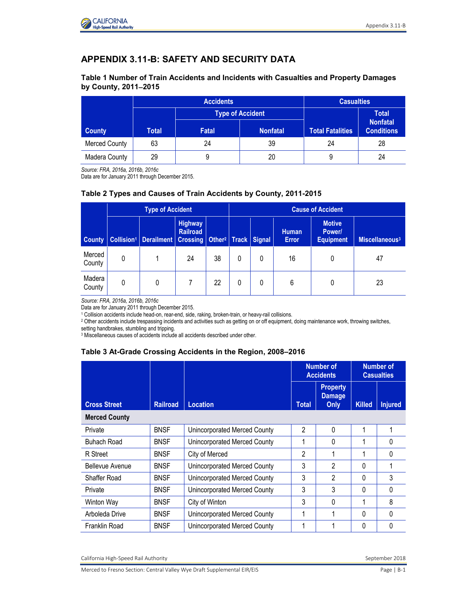

# **APPENDIX 3.11-B: SAFETY AND SECURITY DATA**

#### **Table 1 Number of Train Accidents and Incidents with Casualties and Property Damages by County, 20112015**

|               |       | <b>Accidents</b> | <b>Casualties</b> |                         |                                      |  |
|---------------|-------|------------------|-------------------|-------------------------|--------------------------------------|--|
|               |       | Type of Accident |                   |                         | <b>Total</b>                         |  |
| <b>County</b> | Total | <b>Fatal</b>     | <b>Nonfatal</b>   | <b>Total Fatalities</b> | <b>Nonfatal</b><br><b>Conditions</b> |  |
| Merced County | 63    | 24               | 39                | 24                      | 28                                   |  |
| Madera County | 29    |                  | 20                |                         | 24                                   |  |

*Source: FRA, 2016a, 2016b, 2016c* 

Data are for January 2011 through December 2015.

#### **Table 2 Types and Causes of Train Accidents by County, 2011-2015**

|                  | <b>Type of Accident</b> |                                                                                      |                            |    | <b>Cause of Accident</b> |   |                              |                                             |                            |
|------------------|-------------------------|--------------------------------------------------------------------------------------|----------------------------|----|--------------------------|---|------------------------------|---------------------------------------------|----------------------------|
| <b>County</b>    |                         | Collision <sup>1</sup>   Derailment   Crossing   Other <sup>2</sup>   Track   Signal | <b>Highway</b><br>Railroad |    |                          |   | <b>Human</b><br><b>Error</b> | <b>Motive</b><br>Power/<br><b>Equipment</b> | Miscellaneous <sup>3</sup> |
| Merced<br>County | 0                       |                                                                                      | 24                         | 38 | 0                        | 0 | 16                           | 0                                           | 47                         |
| Madera<br>County | 0                       | 0                                                                                    |                            | 22 | 0                        | 0 | 6                            |                                             | 23                         |

*Source: FRA, 2016a, 2016b, 2016c*

Data are for January 2011 through December 2015.

1 Collision accidents include head-on, rear-end, side, raking, broken-train, or heavy-rail collisions.

2 Other accidents include trespassing incidents and activities such as getting on or off equipment, doing maintenance work, throwing switches,

setting handbrakes, stumbling and tripping.

3 Miscellaneous causes of accidents include all accidents described under other.

#### **Table 3 At-Grade Crossing Accidents in the Region, 2008–2016**

|                      |                 |                              | <b>Number of</b><br><b>Accidents</b> |                                          | <b>Number of</b><br><b>Casualties</b> |                |  |
|----------------------|-----------------|------------------------------|--------------------------------------|------------------------------------------|---------------------------------------|----------------|--|
| <b>Cross Street</b>  | <b>Railroad</b> | <b>Location</b>              | <b>Total</b>                         | <b>Property</b><br><b>Damage</b><br>Only | <b>Killed</b>                         | <b>Injured</b> |  |
| <b>Merced County</b> |                 |                              |                                      |                                          |                                       |                |  |
| Private              | <b>BNSF</b>     | Unincorporated Merced County | 2                                    | $\Omega$                                 | 1                                     | 1              |  |
| Buhach Road          | <b>BNSF</b>     | Unincorporated Merced County |                                      | $\Omega$                                 | 1                                     | 0              |  |
| R Street             | <b>BNSF</b>     | City of Merced               | 2                                    | 1                                        | 1                                     | 0              |  |
| Bellevue Avenue      | <b>BNSF</b>     | Unincorporated Merced County | 3                                    | $\mathfrak{p}$                           | $\Omega$                              |                |  |
| Shaffer Road         | <b>BNSF</b>     | Unincorporated Merced County | 3                                    | $\mathfrak{p}$                           | 0                                     | 3              |  |
| Private              | <b>BNSF</b>     | Unincorporated Merced County | 3                                    | 3                                        | 0                                     | 0              |  |
| Winton Way           | <b>BNSF</b>     | City of Winton               | 3                                    | $\Omega$                                 | 1                                     | 8              |  |
| Arboleda Drive       | <b>BNSF</b>     | Unincorporated Merced County |                                      | 1                                        | $\Omega$                              | 0              |  |
| Franklin Road        | <b>BNSF</b>     | Unincorporated Merced County |                                      |                                          | $\Omega$                              | 0              |  |

California High-Speed Rail Authority September 2018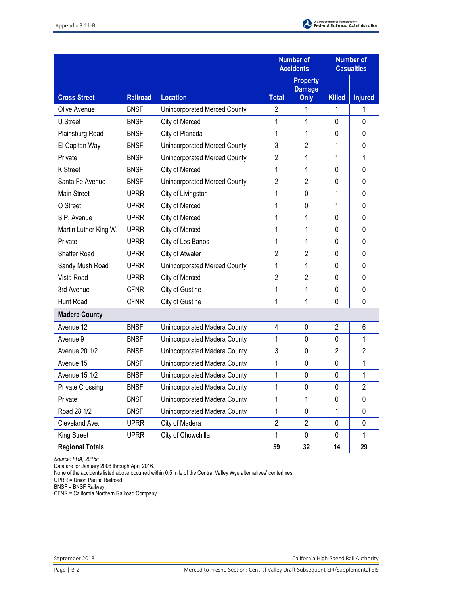

|                         |                                   |                              |                | <b>Number of</b><br><b>Accidents</b>     | <b>Number of</b><br><b>Casualties</b> |                |
|-------------------------|-----------------------------------|------------------------------|----------------|------------------------------------------|---------------------------------------|----------------|
| <b>Cross Street</b>     | <b>Railroad</b>                   | <b>Location</b>              | <b>Total</b>   | <b>Property</b><br><b>Damage</b><br>Only | <b>Killed</b>                         | <b>Injured</b> |
| Olive Avenue            | <b>BNSF</b>                       | Unincorporated Merced County | 2              | 1                                        | 1                                     |                |
| U Street                | <b>BNSF</b>                       | City of Merced               | 1              | 1                                        | 0                                     | 0              |
| Plainsburg Road         | <b>BNSF</b>                       | City of Planada              | 1              | 1                                        | 0                                     | 0              |
| El Capitan Way          | <b>BNSF</b>                       | Unincorporated Merced County | 3              | $\overline{2}$                           | 1                                     | 0              |
| Private                 | <b>BNSF</b>                       | Unincorporated Merced County | $\overline{2}$ | 1                                        | 1                                     | 1              |
| <b>K</b> Street         | <b>BNSF</b>                       | City of Merced               | 1              | 1                                        | 0                                     | 0              |
| Santa Fe Avenue         | <b>BNSF</b>                       | Unincorporated Merced County | 2              | $\overline{2}$                           | 0                                     | $\mathbf 0$    |
| Main Street             | <b>UPRR</b>                       | City of Livingston           | 1              | 0                                        | 1                                     | 0              |
| O Street                | <b>UPRR</b>                       | City of Merced               | 1              | 0                                        | 1                                     | 0              |
| S.P. Avenue             | <b>UPRR</b>                       | City of Merced               | 1              | 1                                        | 0                                     | $\mathbf 0$    |
| Martin Luther King W.   | <b>UPRR</b>                       | City of Merced               | 1              | 1                                        | 0                                     | 0              |
| Private                 | <b>UPRR</b>                       | City of Los Banos            | 1              | 1                                        | 0                                     | 0              |
| Shaffer Road            | <b>UPRR</b>                       | City of Atwater              | $\overline{2}$ | $\overline{2}$                           | 0                                     | 0              |
| Sandy Mush Road         | <b>UPRR</b>                       | Unincorporated Merced County | 1              | 1                                        | 0                                     | 0              |
| Vista Road              | <b>UPRR</b>                       | City of Merced               | $\overline{2}$ | $\overline{2}$                           | 0                                     | 0              |
| 3rd Avenue              | <b>CFNR</b>                       | City of Gustine              | 1              | 1                                        | 0                                     | 0              |
| Hunt Road               | <b>CFNR</b>                       | City of Gustine              | 1              | 1                                        | 0                                     | 0              |
| <b>Madera County</b>    |                                   |                              |                |                                          |                                       |                |
| Avenue 12               | <b>BNSF</b>                       | Unincorporated Madera County | 4              | 0                                        | $\overline{2}$                        | 6              |
| Avenue 9                | <b>BNSF</b>                       | Unincorporated Madera County | 1              | 0                                        | 0                                     | 1              |
| <b>Avenue 20 1/2</b>    | <b>BNSF</b>                       | Unincorporated Madera County | 3              | 0                                        | $\overline{2}$                        | $\overline{2}$ |
| Avenue 15               | <b>BNSF</b>                       | Unincorporated Madera County | 1              | $\mathbf 0$                              | 0                                     | 1              |
| Avenue 15 1/2           | <b>BNSF</b>                       | Unincorporated Madera County | 1              | 0                                        | 0                                     | 1              |
| <b>Private Crossing</b> | <b>BNSF</b>                       | Unincorporated Madera County | 1              | 0                                        | 0                                     | 2              |
| Private                 | <b>BNSF</b>                       | Unincorporated Madera County | 1              | 1                                        | 0                                     | 0              |
| Road 28 1/2             | <b>BNSF</b>                       | Unincorporated Madera County | 1              | 0                                        | 1                                     | 0              |
| Cleveland Ave.          | <b>UPRR</b>                       | City of Madera               | $\overline{2}$ | $\overline{2}$                           | 0                                     | 0              |
| King Street             | <b>UPRR</b><br>City of Chowchilla |                              | 1              | 0                                        | 0                                     | 1              |
| <b>Regional Totals</b>  |                                   |                              | 59             | 32                                       | 14                                    | 29             |

*Source: FRA, 2016c* 

Data are for January 2008 through April 2016.

None of the accidents listed above occurred within 0.5 mile of the Central Valley Wye alternatives' centerlines.

UPRR = Union Pacific Railroad

BNSF = BNSF Railway

CFNR = California Northern Railroad Company

September 2018 California High-Speed Rail Authority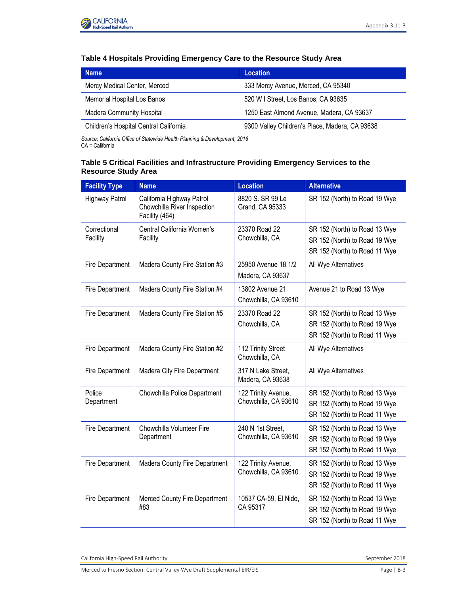

### **Table 4 Hospitals Providing Emergency Care to the Resource Study Area**

| <b>Name</b>                            | <b>Location</b>                                |  |  |
|----------------------------------------|------------------------------------------------|--|--|
| Mercy Medical Center, Merced           | 333 Mercy Avenue, Merced, CA 95340             |  |  |
| Memorial Hospital Los Banos            | 520 W I Street, Los Banos, CA 93635            |  |  |
| <b>Madera Community Hospital</b>       | 1250 East Almond Avenue, Madera, CA 93637      |  |  |
| Children's Hospital Central California | 9300 Valley Children's Place, Madera, CA 93638 |  |  |

*Source: California Office of Statewide Health Planning & Development, 2016*  CA = California

#### **Table 5 Critical Facilities and Infrastructure Providing Emergency Services to the Resource Study Area**

| <b>Facility Type</b>     | <b>Name</b>                                                                | <b>Location</b>                             | <b>Alternative</b>                                                                              |
|--------------------------|----------------------------------------------------------------------------|---------------------------------------------|-------------------------------------------------------------------------------------------------|
| <b>Highway Patrol</b>    | California Highway Patrol<br>Chowchilla River Inspection<br>Facility (464) | 8820 S. SR 99 Le<br>Grand, CA 95333         | SR 152 (North) to Road 19 Wye                                                                   |
| Correctional<br>Facility | Central California Women's<br>Facility                                     | 23370 Road 22<br>Chowchilla, CA             | SR 152 (North) to Road 13 Wye<br>SR 152 (North) to Road 19 Wye<br>SR 152 (North) to Road 11 Wye |
| <b>Fire Department</b>   | Madera County Fire Station #3                                              | 25950 Avenue 18 1/2<br>Madera, CA 93637     | All Wye Alternatives                                                                            |
| <b>Fire Department</b>   | Madera County Fire Station #4                                              | 13802 Avenue 21<br>Chowchilla, CA 93610     | Avenue 21 to Road 13 Wye                                                                        |
| Fire Department          | Madera County Fire Station #5                                              | 23370 Road 22<br>Chowchilla, CA             | SR 152 (North) to Road 13 Wye<br>SR 152 (North) to Road 19 Wye<br>SR 152 (North) to Road 11 Wye |
| Fire Department          | Madera County Fire Station #2                                              | 112 Trinity Street<br>Chowchilla, CA        | All Wye Alternatives                                                                            |
| Fire Department          | Madera City Fire Department                                                | 317 N Lake Street,<br>Madera, CA 93638      | All Wye Alternatives                                                                            |
| Police<br>Department     | Chowchilla Police Department                                               | 122 Trinity Avenue,<br>Chowchilla, CA 93610 | SR 152 (North) to Road 13 Wye<br>SR 152 (North) to Road 19 Wye<br>SR 152 (North) to Road 11 Wye |
| <b>Fire Department</b>   | Chowchilla Volunteer Fire<br>Department                                    | 240 N 1st Street,<br>Chowchilla, CA 93610   | SR 152 (North) to Road 13 Wye<br>SR 152 (North) to Road 19 Wye<br>SR 152 (North) to Road 11 Wye |
| Fire Department          | Madera County Fire Department                                              | 122 Trinity Avenue,<br>Chowchilla, CA 93610 | SR 152 (North) to Road 13 Wye<br>SR 152 (North) to Road 19 Wye<br>SR 152 (North) to Road 11 Wye |
| <b>Fire Department</b>   | Merced County Fire Department<br>#83                                       | 10537 CA-59, El Nido,<br>CA 95317           | SR 152 (North) to Road 13 Wye<br>SR 152 (North) to Road 19 Wye<br>SR 152 (North) to Road 11 Wye |

California High-Speed Rail Authority September 2018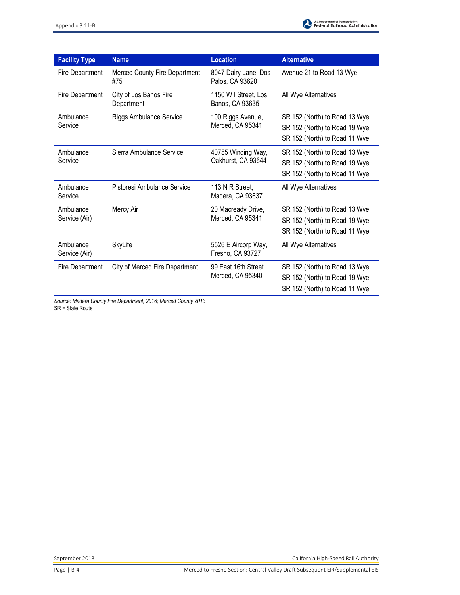

| <b>Facility Type</b>       | <b>Name</b>                          | <b>Location</b>                          | <b>Alternative</b>                                                                              |
|----------------------------|--------------------------------------|------------------------------------------|-------------------------------------------------------------------------------------------------|
| Fire Department            | Merced County Fire Department<br>#75 | 8047 Dairy Lane, Dos<br>Palos, CA 93620  | Avenue 21 to Road 13 Wye                                                                        |
| Fire Department            | City of Los Banos Fire<br>Department | 1150 W I Street, Los<br>Banos, CA 93635  | All Wye Alternatives                                                                            |
| Ambulance<br>Service       | <b>Riggs Ambulance Service</b>       | 100 Riggs Avenue,<br>Merced, CA 95341    | SR 152 (North) to Road 13 Wye<br>SR 152 (North) to Road 19 Wye<br>SR 152 (North) to Road 11 Wye |
| Ambulance<br>Service       | Sierra Ambulance Service             | 40755 Winding Way,<br>Oakhurst, CA 93644 | SR 152 (North) to Road 13 Wye<br>SR 152 (North) to Road 19 Wye<br>SR 152 (North) to Road 11 Wye |
| Ambulance<br>Service       | Pistoresi Ambulance Service          | 113 N R Street,<br>Madera, CA 93637      | All Wye Alternatives                                                                            |
| Ambulance<br>Service (Air) | Mercy Air                            | 20 Macready Drive,<br>Merced, CA 95341   | SR 152 (North) to Road 13 Wye<br>SR 152 (North) to Road 19 Wye<br>SR 152 (North) to Road 11 Wye |
| Ambulance<br>Service (Air) | SkyLife                              | 5526 E Aircorp Way,<br>Fresno, CA 93727  | All Wye Alternatives                                                                            |
| Fire Department            | City of Merced Fire Department       | 99 East 16th Street<br>Merced, CA 95340  | SR 152 (North) to Road 13 Wye<br>SR 152 (North) to Road 19 Wye<br>SR 152 (North) to Road 11 Wye |

*Source: Madera County Fire Department, 2016; Merced County 2013*  SR = State Route

September 2018 California High-Speed Rail Authority